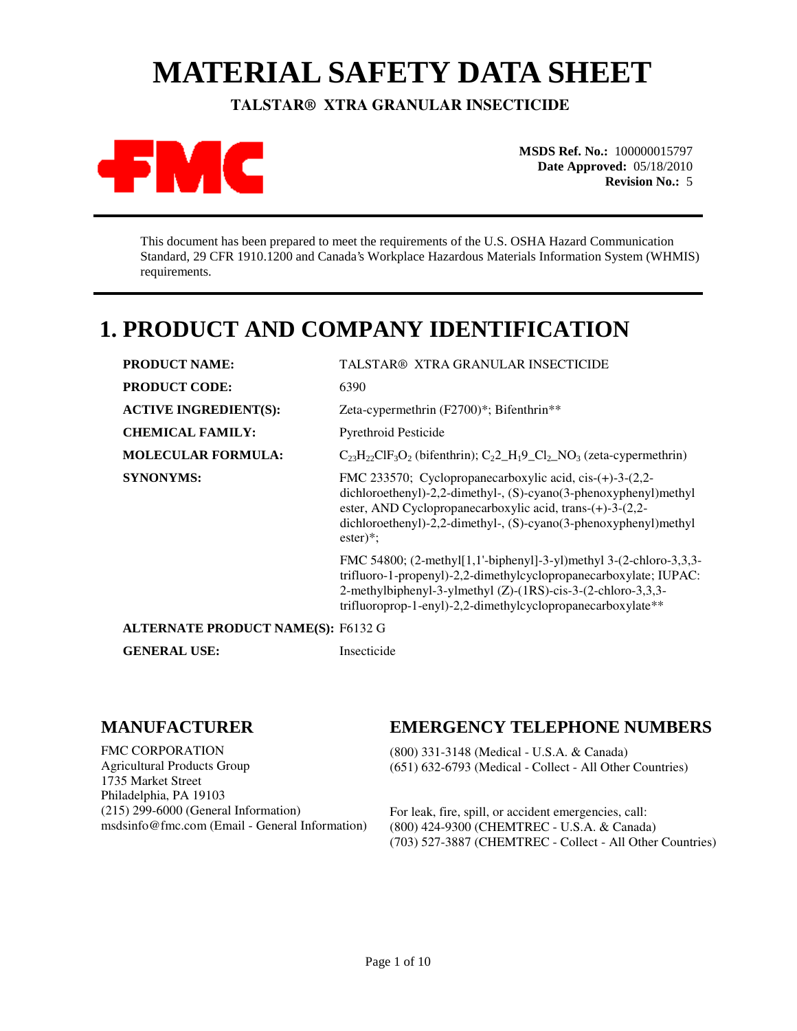# **MATERIAL SAFETY DATA SHEET**

 **TALSTAR® XTRA GRANULAR INSECTICIDE** 



**MSDS Ref. No.:** 100000015797 **Date Approved:** 05/18/2010 **Revision No.:** 5

This document has been prepared to meet the requirements of the U.S. OSHA Hazard Communication Standard, 29 CFR 1910.1200 and Canada's Workplace Hazardous Materials Information System (WHMIS) requirements.

# **1. PRODUCT AND COMPANY IDENTIFICATION**

| <b>PRODUCT NAME:</b>                      | TALSTAR® XTRA GRANULAR INSECTICIDE                                                                                                                                                                                                                                                       |
|-------------------------------------------|------------------------------------------------------------------------------------------------------------------------------------------------------------------------------------------------------------------------------------------------------------------------------------------|
| <b>PRODUCT CODE:</b>                      | 6390                                                                                                                                                                                                                                                                                     |
| <b>ACTIVE INGREDIENT(S):</b>              | Zeta-cypermethrin (F2700)*; Bifenthrin**                                                                                                                                                                                                                                                 |
| <b>CHEMICAL FAMILY:</b>                   | <b>Pyrethroid Pesticide</b>                                                                                                                                                                                                                                                              |
| <b>MOLECULAR FORMULA:</b>                 | $C_{23}H_{22}CIF_3O_2$ (bifenthrin); $C_22_H_19_CI_2NO_3$ (zeta-cypermethrin)                                                                                                                                                                                                            |
| <b>SYNONYMS:</b>                          | FMC 233570; Cyclopropanecarboxylic acid, cis- $(+)$ -3- $(2,2-$<br>dichloroethenyl)-2,2-dimethyl-, (S)-cyano(3-phenoxyphenyl)methyl<br>ester, AND Cyclopropanecarboxylic acid, trans-(+)-3-(2,2-<br>dichloroethenyl)-2,2-dimethyl-, (S)-cyano(3-phenoxyphenyl)methyl<br>$\text{ester}$ : |
|                                           | FMC 54800; $(2$ -methyl[1,1'-biphenyl]-3-yl)methyl 3- $(2$ -chloro-3,3,3-<br>trifluoro-1-propenyl)-2,2-dimethylcyclopropanecarboxylate; IUPAC:<br>2-methylbiphenyl-3-ylmethyl (Z)-(1RS)-cis-3-(2-chloro-3,3,3-<br>trifluoroprop-1-enyl)-2,2-dimethylcyclopropanecarboxylate**            |
| <b>ALTERNATE PRODUCT NAME(S): F6132 G</b> |                                                                                                                                                                                                                                                                                          |
| <b>GENERAL USE:</b>                       | Insecticide                                                                                                                                                                                                                                                                              |

#### **MANUFACTURER**

FMC CORPORATION Agricultural Products Group 1735 Market Street Philadelphia, PA 19103 (215) 299-6000 (General Information) msdsinfo@fmc.com (Email - General Information)

#### **EMERGENCY TELEPHONE NUMBERS**

(800) 331-3148 (Medical - U.S.A. & Canada) (651) 632-6793 (Medical - Collect - All Other Countries)

For leak, fire, spill, or accident emergencies, call: (800) 424-9300 (CHEMTREC - U.S.A. & Canada) (703) 527-3887 (CHEMTREC - Collect - All Other Countries)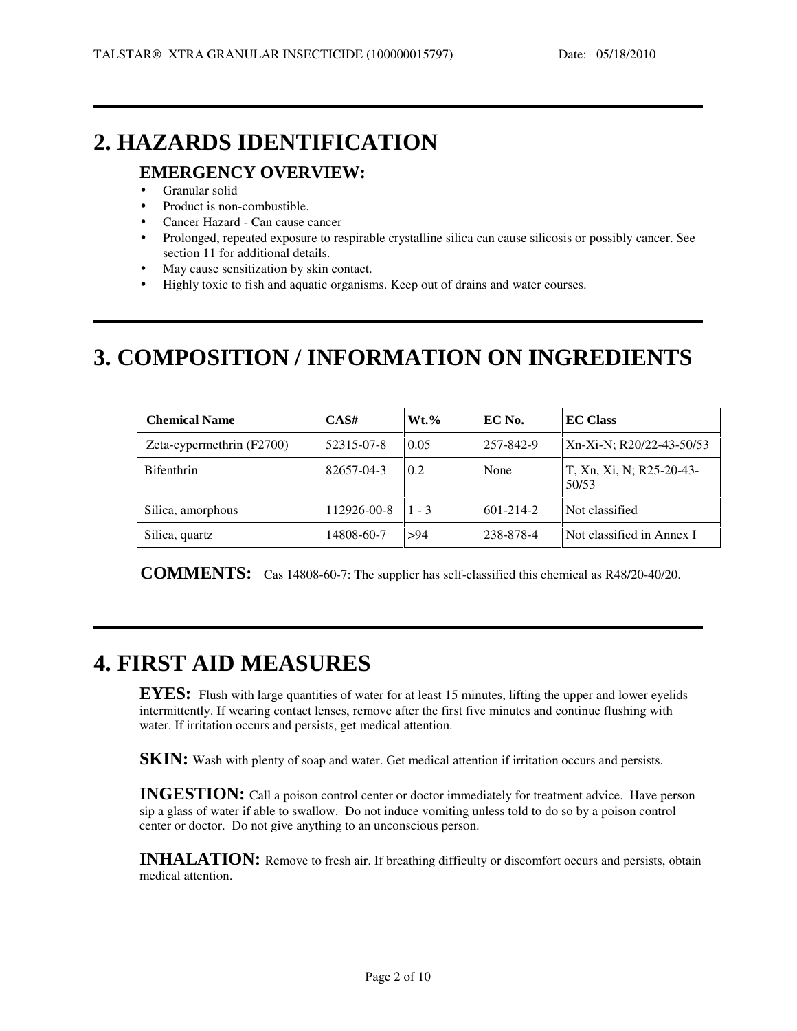## **2. HAZARDS IDENTIFICATION**

#### **EMERGENCY OVERVIEW:**

- Granular solid
- Product is non-combustible.
- Cancer Hazard Can cause cancer
- Prolonged, repeated exposure to respirable crystalline silica can cause silicosis or possibly cancer. See section 11 for additional details.
- May cause sensitization by skin contact.
- Highly toxic to fish and aquatic organisms. Keep out of drains and water courses.

# **3. COMPOSITION / INFORMATION ON INGREDIENTS**

| <b>Chemical Name</b>      | CAS#        | $Wt.$ % | EC No.          | <b>EC Class</b>                   |
|---------------------------|-------------|---------|-----------------|-----------------------------------|
| Zeta-cypermethrin (F2700) | 52315-07-8  | 0.05    | 257-842-9       | Xn-Xi-N; R20/22-43-50/53          |
| <b>Bifenthrin</b>         | 82657-04-3  | 0.2     | None            | T, Xn, Xi, N; R25-20-43-<br>50/53 |
| Silica, amorphous         | 112926-00-8 | $1 - 3$ | $601 - 214 - 2$ | Not classified                    |
| Silica, quartz            | 14808-60-7  | >94     | 238-878-4       | Not classified in Annex I         |

**COMMENTS:** Cas 14808-60-7: The supplier has self-classified this chemical as R48/20-40/20.

# **4. FIRST AID MEASURES**

**EYES:** Flush with large quantities of water for at least 15 minutes, lifting the upper and lower eyelids intermittently. If wearing contact lenses, remove after the first five minutes and continue flushing with water. If irritation occurs and persists, get medical attention.

**SKIN:** Wash with plenty of soap and water. Get medical attention if irritation occurs and persists.

**INGESTION:** Call a poison control center or doctor immediately for treatment advice. Have person sip a glass of water if able to swallow. Do not induce vomiting unless told to do so by a poison control center or doctor. Do not give anything to an unconscious person.

**INHALATION:** Remove to fresh air. If breathing difficulty or discomfort occurs and persists, obtain medical attention.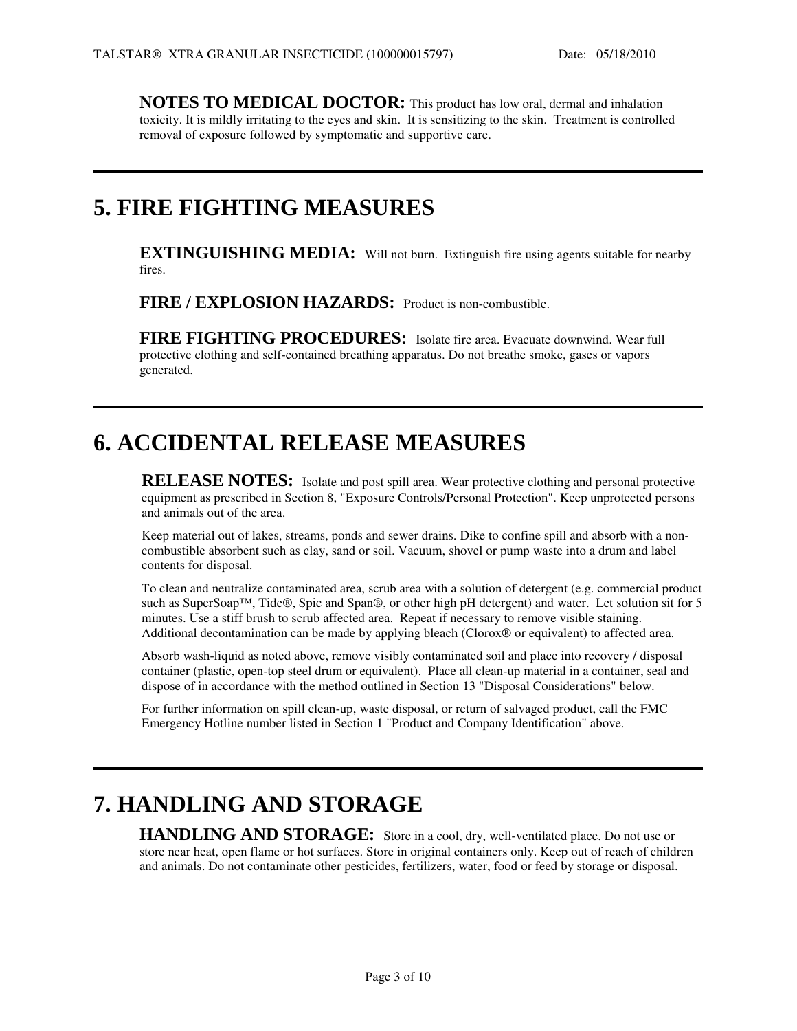**NOTES TO MEDICAL DOCTOR:** This product has low oral, dermal and inhalation toxicity. It is mildly irritating to the eyes and skin. It is sensitizing to the skin. Treatment is controlled removal of exposure followed by symptomatic and supportive care.

### **5. FIRE FIGHTING MEASURES**

**EXTINGUISHING MEDIA:** Will not burn. Extinguish fire using agents suitable for nearby fires.

**FIRE / EXPLOSION HAZARDS:** Product is non-combustible.

**FIRE FIGHTING PROCEDURES:** Isolate fire area. Evacuate downwind. Wear full protective clothing and self-contained breathing apparatus. Do not breathe smoke, gases or vapors generated.

### **6. ACCIDENTAL RELEASE MEASURES**

**RELEASE NOTES:** Isolate and post spill area. Wear protective clothing and personal protective equipment as prescribed in Section 8, "Exposure Controls/Personal Protection". Keep unprotected persons and animals out of the area.

Keep material out of lakes, streams, ponds and sewer drains. Dike to confine spill and absorb with a noncombustible absorbent such as clay, sand or soil. Vacuum, shovel or pump waste into a drum and label contents for disposal.

To clean and neutralize contaminated area, scrub area with a solution of detergent (e.g. commercial product such as SuperSoap™, Tide®, Spic and Span®, or other high pH detergent) and water. Let solution sit for 5 minutes. Use a stiff brush to scrub affected area. Repeat if necessary to remove visible staining. Additional decontamination can be made by applying bleach (Clorox® or equivalent) to affected area.

Absorb wash-liquid as noted above, remove visibly contaminated soil and place into recovery / disposal container (plastic, open-top steel drum or equivalent). Place all clean-up material in a container, seal and dispose of in accordance with the method outlined in Section 13 "Disposal Considerations" below.

For further information on spill clean-up, waste disposal, or return of salvaged product, call the FMC Emergency Hotline number listed in Section 1 "Product and Company Identification" above.

# **7. HANDLING AND STORAGE**

**HANDLING AND STORAGE:** Store in a cool, dry, well-ventilated place. Do not use or store near heat, open flame or hot surfaces. Store in original containers only. Keep out of reach of children and animals. Do not contaminate other pesticides, fertilizers, water, food or feed by storage or disposal.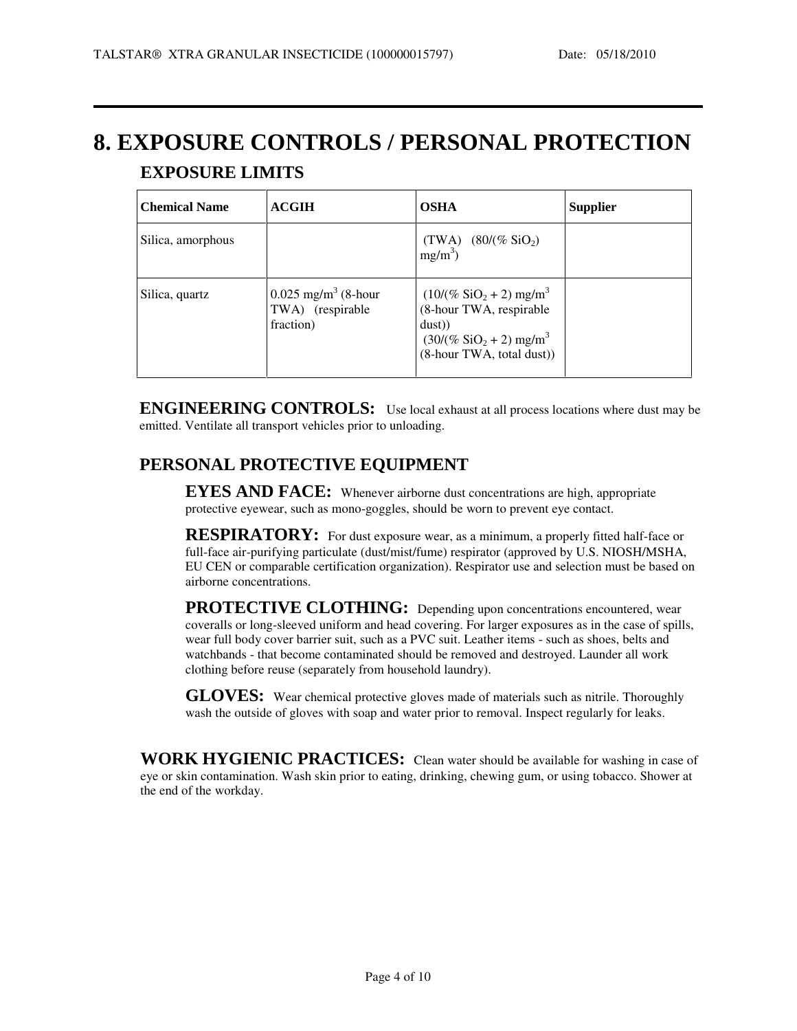# **8. EXPOSURE CONTROLS / PERSONAL PROTECTION EXPOSURE LIMITS**

| <b>Chemical Name</b> | <b>ACGIH</b>                                                       | <b>OSHA</b>                                                                                                                                   | <b>Supplier</b> |
|----------------------|--------------------------------------------------------------------|-----------------------------------------------------------------------------------------------------------------------------------------------|-----------------|
| Silica, amorphous    |                                                                    | (TWA) $(80/(\% \text{ SiO}_2))$<br>$mg/m^3$ )                                                                                                 |                 |
| Silica, quartz       | $0.025$ mg/m <sup>3</sup> (8-hour<br>TWA) (respirable<br>fraction) | $(10/(% SiO2+2) mg/m3)$<br>(8-hour TWA, respirable<br>dust)<br>$(30/(\%$ SiO <sub>2</sub> + 2) mg/m <sup>3</sup><br>(8-hour TWA, total dust)) |                 |

**ENGINEERING CONTROLS:** Use local exhaust at all process locations where dust may be emitted. Ventilate all transport vehicles prior to unloading.

#### **PERSONAL PROTECTIVE EQUIPMENT**

**EYES AND FACE:** Whenever airborne dust concentrations are high, appropriate protective eyewear, such as mono-goggles, should be worn to prevent eye contact.

**RESPIRATORY:** For dust exposure wear, as a minimum, a properly fitted half-face or full-face air-purifying particulate (dust/mist/fume) respirator (approved by U.S. NIOSH/MSHA, EU CEN or comparable certification organization). Respirator use and selection must be based on airborne concentrations.

**PROTECTIVE CLOTHING:** Depending upon concentrations encountered, wear coveralls or long-sleeved uniform and head covering. For larger exposures as in the case of spills, wear full body cover barrier suit, such as a PVC suit. Leather items - such as shoes, belts and watchbands - that become contaminated should be removed and destroyed. Launder all work clothing before reuse (separately from household laundry).

**GLOVES:** Wear chemical protective gloves made of materials such as nitrile. Thoroughly wash the outside of gloves with soap and water prior to removal. Inspect regularly for leaks.

**WORK HYGIENIC PRACTICES:** Clean water should be available for washing in case of eye or skin contamination. Wash skin prior to eating, drinking, chewing gum, or using tobacco. Shower at the end of the workday.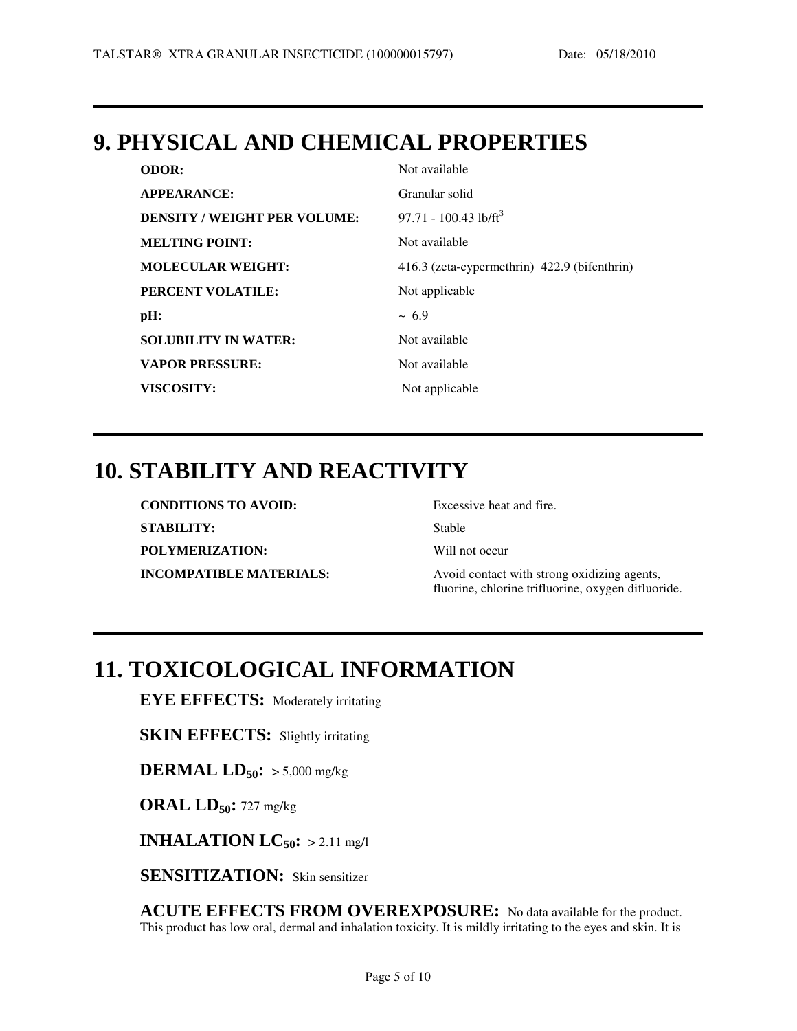### **9. PHYSICAL AND CHEMICAL PROPERTIES**

| <b>ODOR:</b>                        | Not available                                |
|-------------------------------------|----------------------------------------------|
| <b>APPEARANCE:</b>                  | Granular solid                               |
| <b>DENSITY / WEIGHT PER VOLUME:</b> | 97.71 - 100.43 lb/ft <sup>3</sup>            |
| <b>MELTING POINT:</b>               | Not available                                |
| <b>MOLECULAR WEIGHT:</b>            | 416.3 (zeta-cypermethrin) 422.9 (bifenthrin) |
| PERCENT VOLATILE:                   | Not applicable                               |
| pH:                                 | $~1$ 6.9                                     |
| <b>SOLUBILITY IN WATER:</b>         | Not available                                |
| <b>VAPOR PRESSURE:</b>              | Not available                                |
| <b>VISCOSITY:</b>                   | Not applicable                               |

### **10. STABILITY AND REACTIVITY**

| <b>CONDITIONS TO AVOID:</b>    | Excessive heat and fire.                                                                          |
|--------------------------------|---------------------------------------------------------------------------------------------------|
| <b>STABILITY:</b>              | Stable                                                                                            |
| <b>POLYMERIZATION:</b>         | Will not occur                                                                                    |
| <b>INCOMPATIBLE MATERIALS:</b> | Avoid contact with strong oxidizing agents,<br>fluorine, chlorine trifluorine, oxygen difluoride. |

## **11. TOXICOLOGICAL INFORMATION**

**EYE EFFECTS:** Moderately irritating

**SKIN EFFECTS:** Slightly irritating

**DERMAL LD50:** > 5,000 mg/kg

**ORAL LD50:** 727 mg/kg

**INHALATION**  $LC_{50}$ **:** > 2.11 mg/l

**SENSITIZATION:** Skin sensitizer

**ACUTE EFFECTS FROM OVEREXPOSURE:** No data available for the product. This product has low oral, dermal and inhalation toxicity. It is mildly irritating to the eyes and skin. It is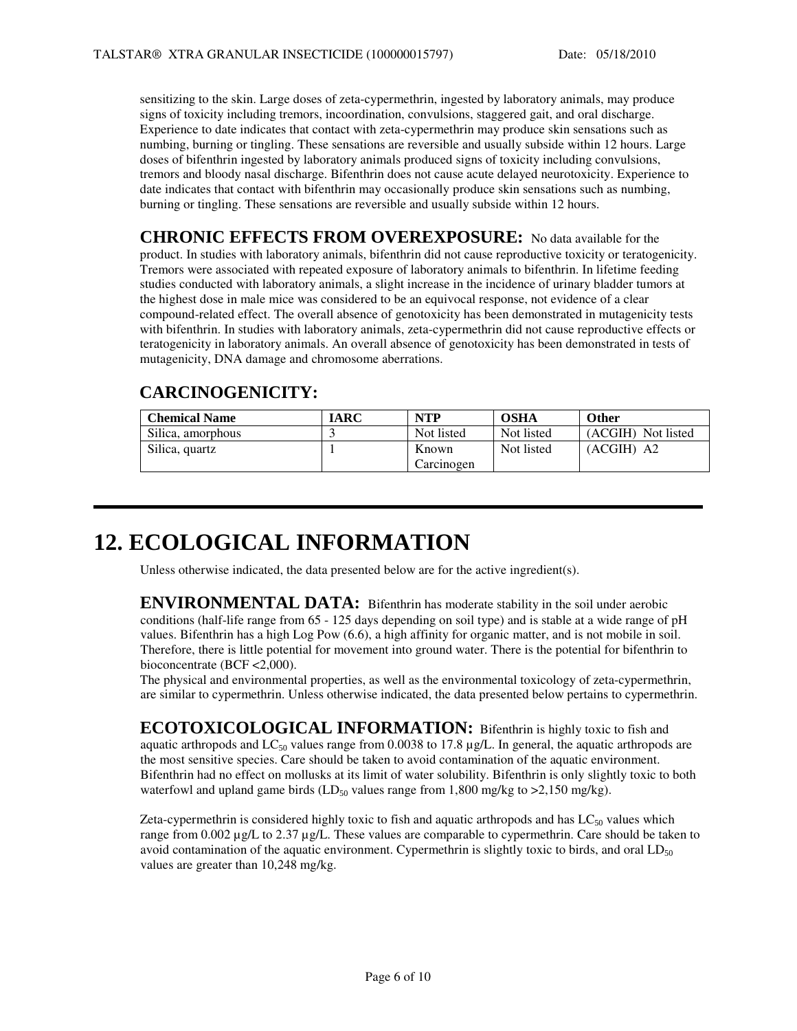sensitizing to the skin. Large doses of zeta-cypermethrin, ingested by laboratory animals, may produce signs of toxicity including tremors, incoordination, convulsions, staggered gait, and oral discharge. Experience to date indicates that contact with zeta-cypermethrin may produce skin sensations such as numbing, burning or tingling. These sensations are reversible and usually subside within 12 hours. Large doses of bifenthrin ingested by laboratory animals produced signs of toxicity including convulsions, tremors and bloody nasal discharge. Bifenthrin does not cause acute delayed neurotoxicity. Experience to date indicates that contact with bifenthrin may occasionally produce skin sensations such as numbing, burning or tingling. These sensations are reversible and usually subside within 12 hours.

**CHRONIC EFFECTS FROM OVEREXPOSURE:** No data available for the product. In studies with laboratory animals, bifenthrin did not cause reproductive toxicity or teratogenicity. Tremors were associated with repeated exposure of laboratory animals to bifenthrin. In lifetime feeding studies conducted with laboratory animals, a slight increase in the incidence of urinary bladder tumors at the highest dose in male mice was considered to be an equivocal response, not evidence of a clear compound-related effect. The overall absence of genotoxicity has been demonstrated in mutagenicity tests with bifenthrin. In studies with laboratory animals, zeta-cypermethrin did not cause reproductive effects or teratogenicity in laboratory animals. An overall absence of genotoxicity has been demonstrated in tests of mutagenicity, DNA damage and chromosome aberrations.

#### **CARCINOGENICITY:**

| <b>Chemical Name</b> | IARC | <b>NTP</b> | <b>OSHA</b> | <b>Other</b>       |
|----------------------|------|------------|-------------|--------------------|
| Silica, amorphous    |      | Not listed | Not listed  | (ACGIH) Not listed |
| Silica, quartz       |      | Known      | Not listed  | $(ACGIH)$ A2       |
|                      |      | Carcinogen |             |                    |

### **12. ECOLOGICAL INFORMATION**

Unless otherwise indicated, the data presented below are for the active ingredient(s).

**ENVIRONMENTAL DATA:** Bifenthrin has moderate stability in the soil under aerobic conditions (half-life range from 65 - 125 days depending on soil type) and is stable at a wide range of pH values. Bifenthrin has a high Log Pow (6.6), a high affinity for organic matter, and is not mobile in soil. Therefore, there is little potential for movement into ground water. There is the potential for bifenthrin to bioconcentrate (BCF <2,000).

The physical and environmental properties, as well as the environmental toxicology of zeta-cypermethrin, are similar to cypermethrin. Unless otherwise indicated, the data presented below pertains to cypermethrin.

**ECOTOXICOLOGICAL INFORMATION:** Bifenthrin is highly toxic to fish and aquatic arthropods and  $LC_{50}$  values range from 0.0038 to 17.8  $\mu$ g/L. In general, the aquatic arthropods are the most sensitive species. Care should be taken to avoid contamination of the aquatic environment. Bifenthrin had no effect on mollusks at its limit of water solubility. Bifenthrin is only slightly toxic to both waterfowl and upland game birds  $(LD_{50}$  values range from 1,800 mg/kg to >2,150 mg/kg).

Zeta-cypermethrin is considered highly toxic to fish and aquatic arthropods and has  $LC_{50}$  values which range from 0.002 µg/L to 2.37 µg/L. These values are comparable to cypermethrin. Care should be taken to avoid contamination of the aquatic environment. Cypermethrin is slightly toxic to birds, and oral  $LD_{50}$ values are greater than 10,248 mg/kg.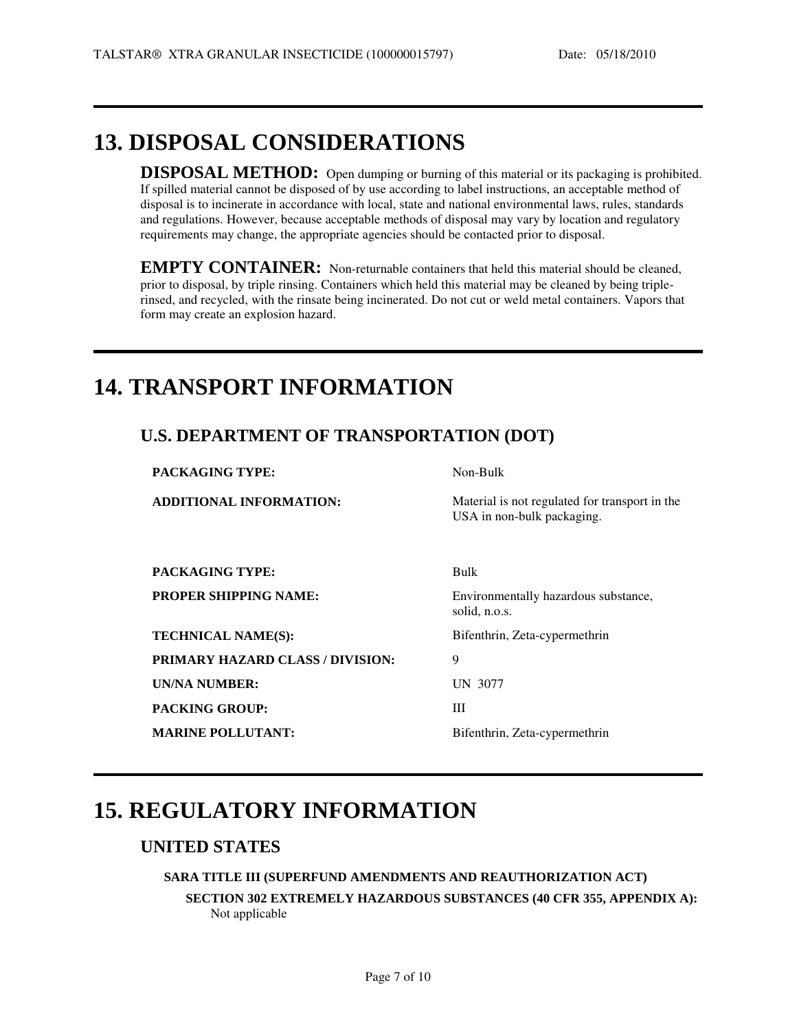## **13. DISPOSAL CONSIDERATIONS**

**DISPOSAL METHOD:** Open dumping or burning of this material or its packaging is prohibited. If spilled material cannot be disposed of by use according to label instructions, an acceptable method of disposal is to incinerate in accordance with local, state and national environmental laws, rules, standards and regulations. However, because acceptable methods of disposal may vary by location and regulatory requirements may change, the appropriate agencies should be contacted prior to disposal.

**EMPTY CONTAINER:** Non-returnable containers that held this material should be cleaned, prior to disposal, by triple rinsing. Containers which held this material may be cleaned by being triplerinsed, and recycled, with the rinsate being incinerated. Do not cut or weld metal containers. Vapors that form may create an explosion hazard.

## **14. TRANSPORT INFORMATION**

#### **U.S. DEPARTMENT OF TRANSPORTATION (DOT)**

**PACKAGING TYPE:** Non-Bulk

**ADDITIONAL INFORMATION:** Material is not regulated for transport in the USA in non-bulk packaging.

**PACKAGING TYPE:** Bulk

**TECHNICAL NAME(S):** Bifenthrin, Zeta-cypermethrin **PRIMARY HAZARD CLASS / DIVISION:** 9 **UN/NA NUMBER:** UN 3077 **PACKING GROUP:** III

**PROPER SHIPPING NAME:** Environmentally hazardous substance, solid, n.o.s.

**MARINE POLLUTANT:** Bifenthrin, Zeta-cypermethrin

# **15. REGULATORY INFORMATION**

#### **UNITED STATES**

 $\overline{a}$ 

#### **SARA TITLE III (SUPERFUND AMENDMENTS AND REAUTHORIZATION ACT)**

**SECTION 302 EXTREMELY HAZARDOUS SUBSTANCES (40 CFR 355, APPENDIX A):** Not applicable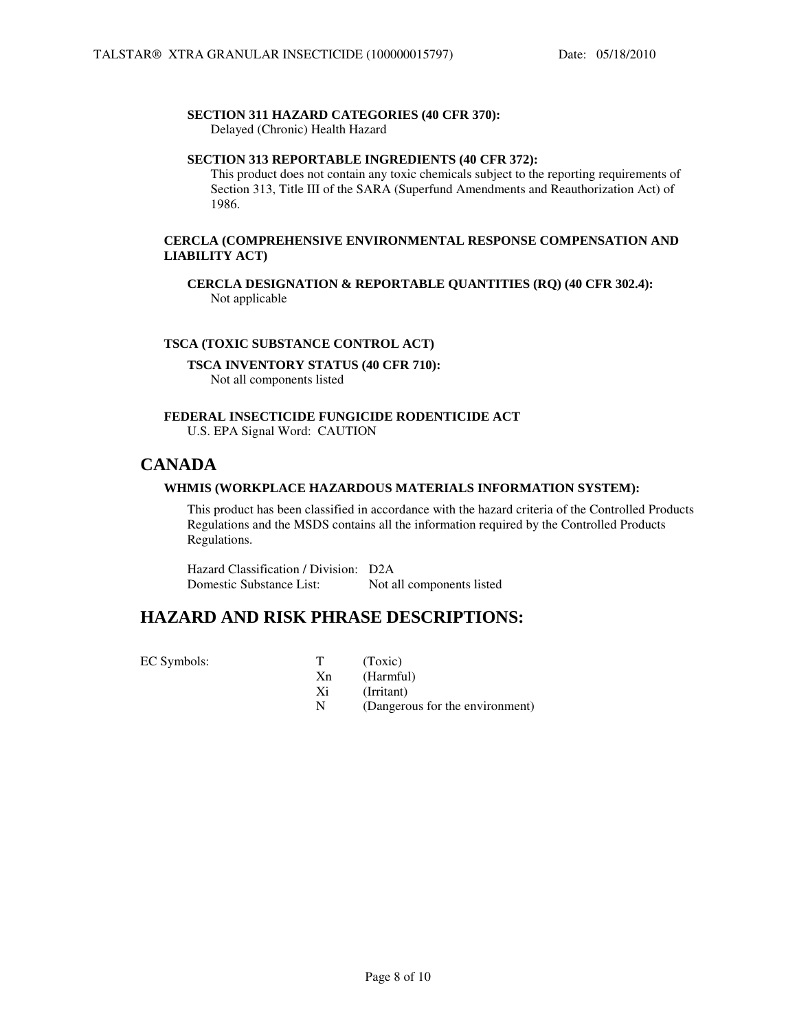#### **SECTION 311 HAZARD CATEGORIES (40 CFR 370):**

Delayed (Chronic) Health Hazard

#### **SECTION 313 REPORTABLE INGREDIENTS (40 CFR 372):**

This product does not contain any toxic chemicals subject to the reporting requirements of Section 313, Title III of the SARA (Superfund Amendments and Reauthorization Act) of 1986.

#### **CERCLA (COMPREHENSIVE ENVIRONMENTAL RESPONSE COMPENSATION AND LIABILITY ACT)**

**CERCLA DESIGNATION & REPORTABLE QUANTITIES (RQ) (40 CFR 302.4):** Not applicable

#### **TSCA (TOXIC SUBSTANCE CONTROL ACT)**

**TSCA INVENTORY STATUS (40 CFR 710):**  Not all components listed

**FEDERAL INSECTICIDE FUNGICIDE RODENTICIDE ACT** U.S. EPA Signal Word: CAUTION

#### **CANADA**

#### **WHMIS (WORKPLACE HAZARDOUS MATERIALS INFORMATION SYSTEM):**

This product has been classified in accordance with the hazard criteria of the Controlled Products Regulations and the MSDS contains all the information required by the Controlled Products Regulations.

Hazard Classification / Division: D2A Domestic Substance List: Not all components listed

#### **HAZARD AND RISK PHRASE DESCRIPTIONS:**

EC Symbols: T (Toxic)

Xn (Harmful)

- Xi (Irritant)
- N (Dangerous for the environment)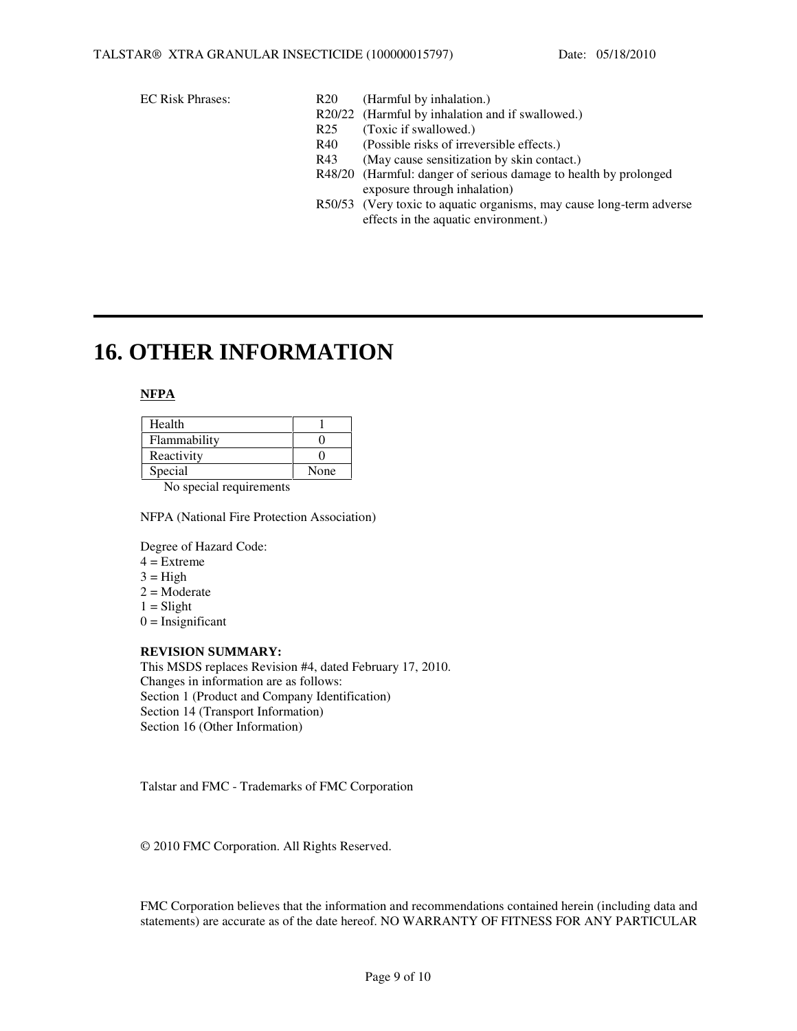- EC Risk Phrases: R20 (Harmful by inhalation.)
	- R20/22 (Harmful by inhalation and if swallowed.)
	- R25 (Toxic if swallowed.)
	- R40 (Possible risks of irreversible effects.)
	- R43 (May cause sensitization by skin contact.)
	- R48/20 (Harmful: danger of serious damage to health by prolonged exposure through inhalation)
	- R50/53 (Very toxic to aquatic organisms, may cause long-term adverse effects in the aquatic environment.)

### **16. OTHER INFORMATION**

#### **NFPA**

| Health       |      |
|--------------|------|
| Flammability |      |
| Reactivity   |      |
| Special      | None |

No special requirements

NFPA (National Fire Protection Association)

Degree of Hazard Code:

- $4 =$ Extreme
- $3 = High$
- $2 = \text{Modern}$
- $1 =$ Slight
- $0 =$  Insignificant

#### **REVISION SUMMARY:**

This MSDS replaces Revision #4, dated February 17, 2010. Changes in information are as follows: Section 1 (Product and Company Identification) Section 14 (Transport Information) Section 16 (Other Information)

Talstar and FMC - Trademarks of FMC Corporation

© 2010 FMC Corporation. All Rights Reserved.

FMC Corporation believes that the information and recommendations contained herein (including data and statements) are accurate as of the date hereof. NO WARRANTY OF FITNESS FOR ANY PARTICULAR